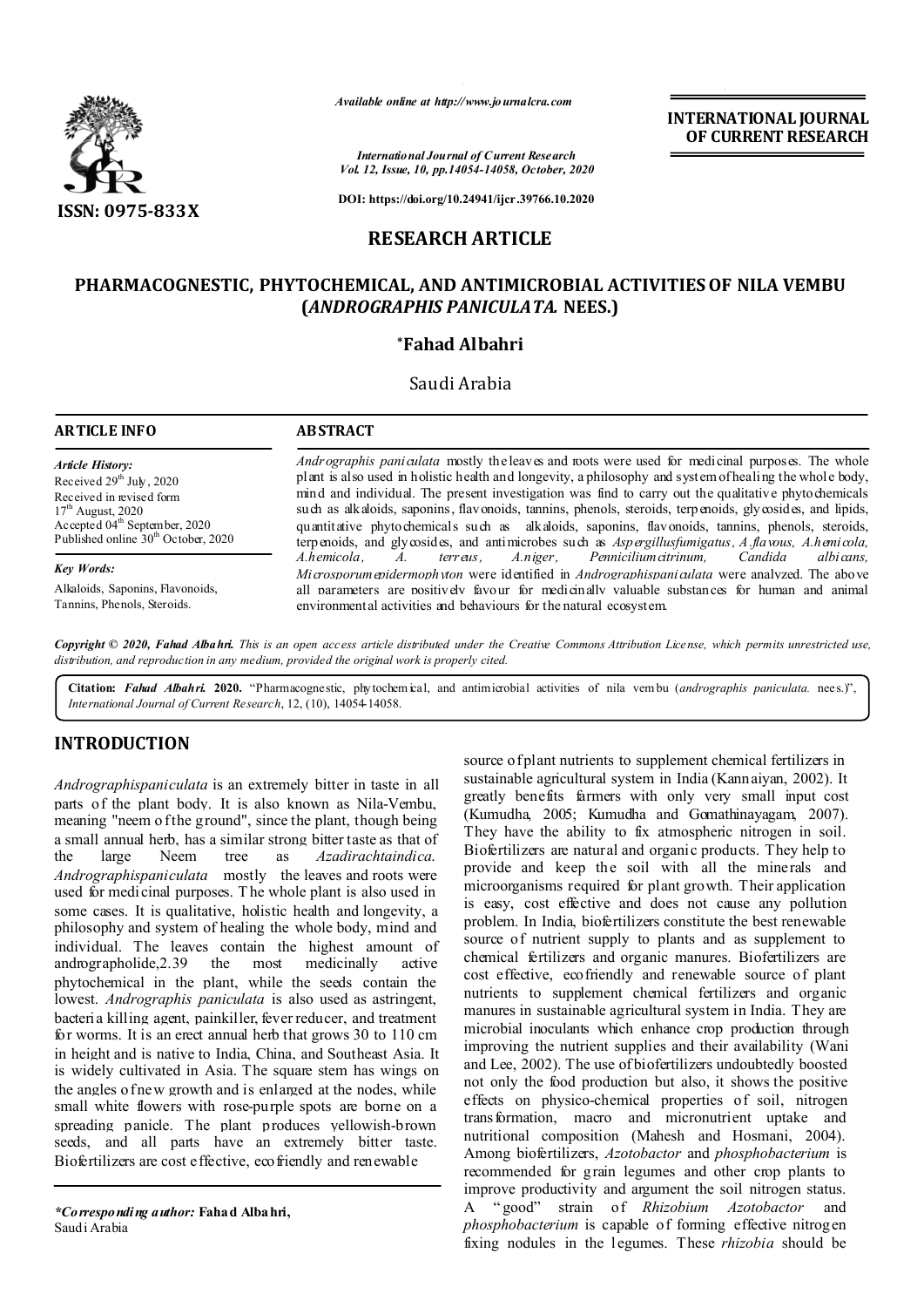

*Available online at http://www.journalcra.com*

*International Journal of Current Research Vol. 12, Issue, 10, pp.14054-14058, October, 2020*

**DOI: https://doi.org/10.24941/ijcr.39766.10.2020**

# **RESEARCH ARTICLE**

# **PHARMACOGNESTIC, PHYTOCHEMICAL, AND ANTIMICROBIAL ACTIVITIES OF NILA VEMBU (***ANDROGRAPHIS PANICULATA.* **NEES.)**

# **\*Fahad Albahri**

## Saudi Arabia

## **ARTICLE INFO ABSTRACT**

*Article History:* Received 29<sup>th</sup> July, 2020 Received in revised form 17<sup>th</sup> August, 2020 Accepted 04<sup>th</sup> September, 2020 Published online  $30<sup>th</sup>$  October, 2020

## *Key Words:*

Alkaloids, Saponins, Flavonoids, Tannins, Phenols, Steroids.

*Andrographis paniculata* mostly the leaves and roots were used for medicinal purposes. The whole plant is also used in holistic health and longevity, a philosophy and system of healing the whole body, mind and individual. The present investigation was find to carry out the qualitative phytochemicals such as alkaloids, saponins, flavonoids, tannins, phenols, steroids, terpenoids, glycosides, and lipids, quantitative phytochemicals such as alkaloids, saponins, flavonoids, tannins, phenols, steroids, terpenoids, and glycosides, and antimicrobes such as *Aspergillusfumigatus, A.flavous, A.hemicola, A.hemicola, A. terreus, A.niger, Penniciliumcitrinum, Candida albicans, Microsporumepidermophyton* were identified in *Andrographispaniculata* were analyzed. The above all parameters are positively favour for medicinally valuable substances for human and animal environmental activities and behaviours for the natural ecosystem.

**INTERNATIONAL JOURNAL OF CURRENT RESEARCH**

Copyright © 2020, Fahad Albahri. This is an open access article distributed under the Creative Commons Attribution License, which permits unrestricted use, *distribution, and reproduction in any medium, provided the original work is properly cited.*

**Citation:** *Fahad Albahri.* **2020.** "Pharmacognestic, phytochem ical, and antimicrobial activities of nila vem bu (*andrographis paniculata.* nees.)", *International Journal of Current Research*, 12, (10), 14054-14058.

# **INTRODUCTION**

*Andrographispaniculata* is an extremely bitter in taste in all parts of the plant body. It is also known as Nila-Vembu, meaning "neem of the ground", since the plant, though being a small annual herb, has a similar strong bitter taste as that of the large Neem tree as *Azadirachtaindica*. *Andrographispaniculata* mostly the leaves and roots were used for medicinal purposes. T he whole plant is also used in some cases. It is qualitative, holistic health and longevity, a philosophy and system of healing the whole body, mind and individual. The leaves contain the highest amount of andrographolide. 2.39 the most medicinally active andrographolide,2.39 the most medicinally active phytochemical in the plant, while the seeds contain the lowest. *Andrographis paniculata* is also used as astringent, bacteria killing agent, painkiller, fever reducer, and treatment for worms. It is an erect annual herb that grows 30 to 110 cm in height and is native to India, China, and Southeast Asia. It is widely cultivated in Asia. The square stem has wings on the angles of new growth and is enlarged at the nodes, while small white flowers with rose-purple spots are borne on a spreading panicle. The plant produces yellowish-brown seeds, and all parts have an extremely bitter taste. Biofertilizers are cost effective, ecofriendly and renewable

*\*Corresponding author:* **Fahad Albahri,** Saudi Arabia

source of plant nutrients to supplement chemical fertilizers in sustainable agricultural system in India (Kannaiyan, 2002). It greatly benefits farmers with only very small input cost (Kumudha, 2005; Kumudha and Gomathinayagam, 2007). They have the ability to fix atmospheric nitrogen in soil. Biofertilizers are natural and organic products. They help to provide and keep the soil with all the minerals and microorganisms required for plant growth. Their application is easy, cost effective and does not cause any pollution problem. In India, biofertilizers constitute the best renewable source of nutrient supply to plants and as supplement to chemical fertilizers and organic manures. Biofertilizers are cost effective, ecofriendly and renewable source of plant nutrients to supplement chemical fertilizers and organic manures in sustainable agricultural system in India. They are microbial inoculants which enhance crop production through improving the nutrient supplies and their availability (Wani and Lee, 2002). The use of biofertilizers undoubtedly boosted not only the food production but also, it shows the positive effects on physico-chemical properties of soil, nitrogen transformation, macro and micronutrient uptake and nutritional composition (Mahesh and Hosmani, 2004). Among biofertilizers, *Azotobactor* and *phosphobacterium* is recommended for grain legumes and other crop plants to improve productivity and argument the soil nitrogen status. A " good" strain of *Rhizobium Azotobactor* and *phosphobacterium* is capable of forming effective nitrogen fixing nodules in the legumes. These *rhizobia* should be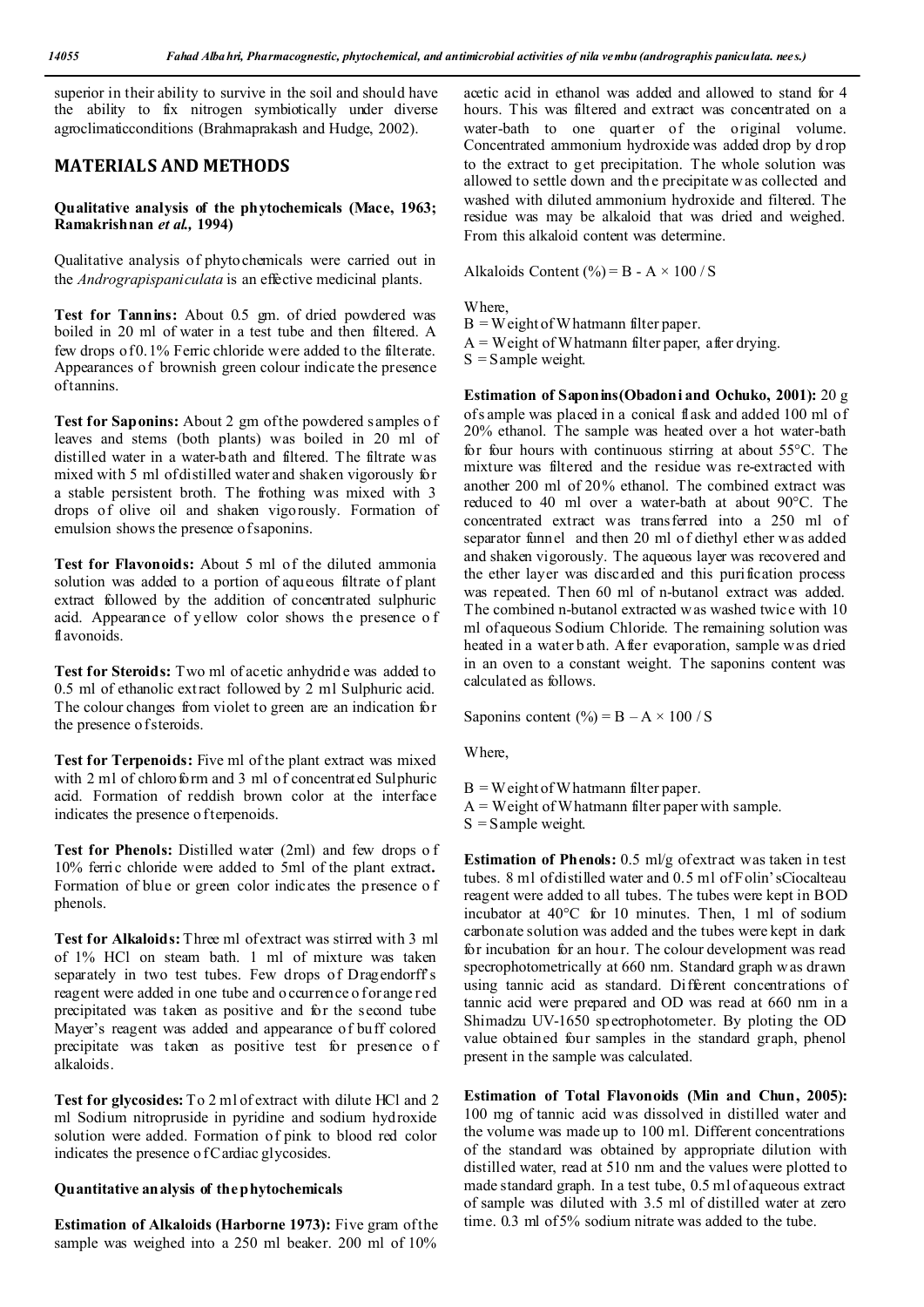superior in their ability to survive in the soil and should have the ability to fix nitrogen symbiotically under diverse agroclimaticconditions (Brahmaprakash and Hudge, 2002).

## **MATERIALS AND METHODS**

#### **Qualitative analysis of the phytochemicals (Mace, 1963; Ramakrishnan** *et al.,* **1994)**

Qualitative analysis of phytochemicals were carried out in the *Andrograpispaniculata* is an effective medicinal plants.

**Test for Tannins:** About 0.5 gm. of dried powdered was boiled in 20 ml of water in a test tube and then filtered. A few drops of 0.1% Ferric chloride were added to the filterate. Appearances of brownish green colour indicate the presence of tannins.

**Test for Saponins:** About 2 gm of the powdered samples of leaves and stems (both plants) was boiled in 20 ml of distilled water in a water-bath and filtered. The filtrate was mixed with 5 ml of distilled water and shaken vigorously for a stable persistent broth. The frothing was mixed with 3 drops of olive oil and shaken vigorously. Formation of emulsion shows the presence of saponins.

**Test for Flavonoids:** About 5 ml of the diluted ammonia solution was added to a portion of aqueous filtrate of plant extract followed by the addition of concentrated sulphuric acid. Appearance of yellow color shows the presence o f flavonoids.

**Test for Steroids:** Two ml of acetic anhydride was added to 0.5 ml of ethanolic ext ract followed by 2 ml Sulphuric acid. The colour changes from violet to green are an indication for the presence o f steroids.

**Test for Terpenoids:** Five ml of the plant extract was mixed with 2 ml of chloroform and 3 ml of concentrated Sulphuric acid. Formation of reddish brown color at the interface indicates the presence o f terpenoids.

**Test for Phenols:** Distilled water (2ml) and few drops o f 10% ferric chloride were added to 5ml of the plant extract**.**  Formation of blue or green color indicates the presence o f phenols.

**Test for Alkaloids:** Three ml of extract was stirred with 3 ml of 1% HCl on steam bath. 1 ml of mixture was taken separately in two test tubes. Few drops of Dragendorff's reagent were added in one tube and o ccurrence o for ange red precipitated was taken as positive and for the second tube Mayer's reagent was added and appearance of buff colored precipitate was taken as positive test for presence o f alkaloids.

**Test for glycosides:** To 2 ml of extract with dilute HCl and 2 ml Sodium nitropruside in pyridine and sodium hydroxide solution were added. Formation of pink to blood red color indicates the presence of Cardiac glycosides.

## **Quantitative analysis of the phytochemicals**

**Estimation of Alkaloids (Harborne 1973):** Five gram of the sample was weighed into a 250 ml beaker. 200 ml of  $10\%$ 

acetic acid in ethanol was added and allowed to stand for 4 hours. This was filtered and extract was concentrated on a water-bath to one quarter of the original volume. Concentrated ammonium hydroxide was added drop by d rop to the extract to get precipitation. The whole solution was allowed to settle down and the precipitate w as collected and washed with diluted ammonium hydroxide and filtered. The residue was may be alkaloid that was dried and weighed. From this alkaloid content was determine.

Alkaloids Content  $\left(\frac{0}{0}\right)$  = B - A  $\times$  100 / S

Where,

 $B = W$  eight of Whatmann filter paper.

 $A = Weight of Whatmann filter paper, after drying.$ 

 $S =$  Sample weight.

**Estimation of Saponins(Obadoni and Ochuko, 2001):** 20 g of s ample was placed in a conical flask and added 100 ml of 20% ethanol. The sample was heated over a hot water-bath for four hours with continuous stirring at about 55°C. The mixture was filtered and the residue was re-extracted with another 200 ml of 20% ethanol. The combined extract was reduced to 40 ml over a water-bath at about 90°C. The concentrated extract was transferred into a 250 ml of separator funnel and then 20 ml of diethyl ether w as added and shaken vigorously. The aqueous layer was recovered and the ether layer was discarded and this purification process was repeated. Then 60 ml of n-butanol extract was added. The combined n-butanol extracted w as washed twice with 10 ml of aqueous Sodium Chloride. The remaining solution was heated in a water b ath. After evaporation, sample was dried in an oven to a constant weight. The saponins content was calculated as follows.

Saponins content (%) =  $B - A \times 100 / S$ 

Where,

 $B = W$  eight of Whatmann filter paper.  $A = Weight of Whatmann filter paper with sample.$  $S =$  Sample weight.

**Estimation of Phenols:** 0.5 ml/g of extract was taken in test tubes. 8 ml of distilled water and 0.5 ml of Folin'sCiocalteau reagent were added to all tubes. The tubes were kept in BOD incubator at 40°C for 10 minutes. Then, 1 ml of sodium carbonate solution was added and the tubes were kept in dark for incubation for an hour. The colour development was read specrophotometrically at 660 nm. Standard graph w as drawn using tannic acid as standard. Different concentrations of tannic acid were prepared and OD was read at 660 nm in a Shimadzu UV-1650 spectrophotometer. By ploting the OD value obtained four samples in the standard graph, phenol present in the sample was calculated.

**Estimation of Total Flavonoids (Min and Chun, 2005):**  100 mg of tannic acid was dissolved in distilled water and the volume was made up to 100 ml. Different concentrations of the standard was obtained by appropriate dilution with distilled water, read at 510 nm and the values were plotted to made standard graph. In a test tube, 0.5 ml of aqueous extract of sample was diluted with 3.5 ml of distilled water at zero time. 0.3 ml of 5% sodium nitrate was added to the tube.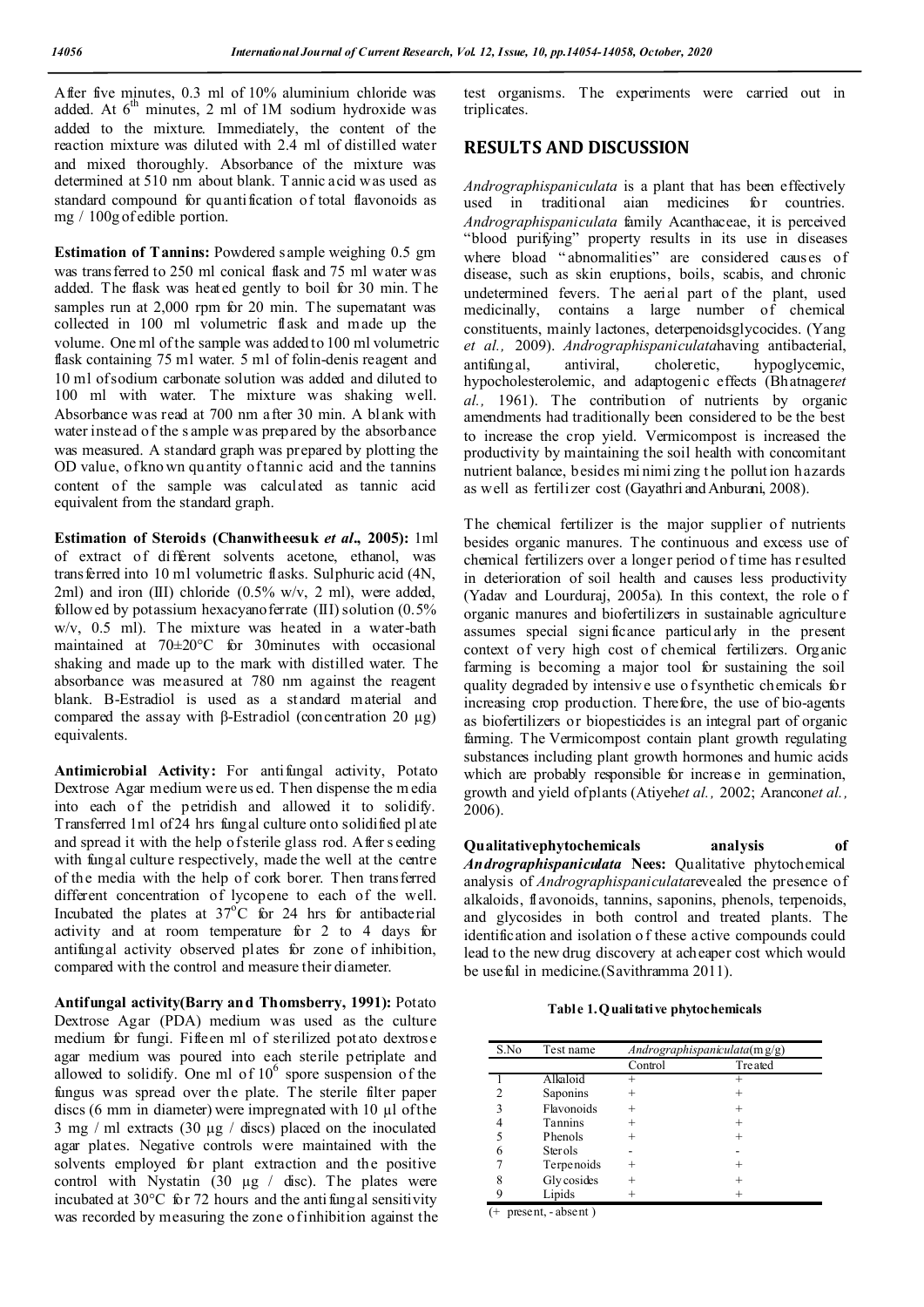After five minutes, 0.3 ml of 10% aluminium chloride was added. At  $6<sup>th</sup>$  minutes, 2 ml of 1M sodium hydroxide was added to the mixture. Immediately, the content of the reaction mixture was diluted with 2.4 ml of distilled water and mixed thoroughly. Absorbance of the mixture was determined at 510 nm about blank. T annic acid was used as standard compound for quantification of total flavonoids as mg / 100g of edible portion.

**Estimation of Tannins:** Powdered sample weighing 0.5 gm was transferred to 250 ml conical flask and 75 ml water was added. The flask was heated gently to boil for 30 min. T he samples run at 2,000 rpm for 20 min. The supernatant was collected in 100 ml volumetric flask and made up the volume. One ml of the sample was added to 100 ml volumetric flask containing 75 ml water. 5 ml of folin-denis reagent and 10 ml of sodium carbonate solution was added and diluted to 100 ml with water. The mixture was shaking well. Absorbance was read at 700 nm after 30 min. A blank with water instead of the s ample was prepared by the absorbance was measured. A standard graph was prepared by plotting the OD value, of kno wn qu antity of tannic acid and the tannins content of the sample was calculated as tannic acid equivalent from the standard graph.

**Estimation of Steroids (Chanwitheesuk** *et al***., 2005):** 1ml of extract of different solvents acetone, ethanol, was transferred into 10 ml volumetric flasks. Sulphuric acid (4N, 2ml) and iron (III) chloride (0.5% w/v, 2 ml), were added, followed by potassium hexacyanoferrate  $(III)$  solution  $(0.5\%$ w/v, 0.5 ml). The mixture was heated in a water-bath maintained at 70±20°C for 30minutes with occasional shaking and made up to the mark with distilled water. The absorbance was measured at 780 nm against the reagent blank. Β-Estradiol is used as a st andard material and compared the assay with β-Estradiol (concentration 20  $\mu$ g) equivalents.

Antimicrobial Activity: For antifungal activity, Potato Dextrose Agar medium were us ed. Then dispense the m edia into each of the petridish and allowed it to solidify. Transferred 1ml of 24 hrs fungal culture onto solidified pl ate and spread it with the help of sterile glass rod. After s eeding with fungal culture respectively, made the well at the centre of the media with the help of cork borer. Then transferred different concentration of lycopene to each of the well. Incubated the plates at  $37^{\circ}$ C for 24 hrs for antibacterial activity and at room temperature for 2 to 4 days for antifungal activity observed plates for zone of inhibition, compared with the control and measure their diameter.

**Antifungal activity(Barry and Thomsberry, 1991):** Potato Dextrose Agar (PDA) medium was used as the culture medium for fungi. Fifteen ml of sterilized potato dextrose agar medium was poured into each sterile petriplate and allowed to solidify. One ml of  $10<sup>6</sup>$  spore suspension of the fungus was spread over the plate. The sterile filter paper discs (6 mm in diameter) were impregnated with 10 µl of the  $3 \text{ mg}$  / ml extracts (30  $\mu$ g / discs) placed on the inoculated agar plates. Negative controls were maintained with the solvents employed for plant extraction and the positive control with Nystatin  $(30 \mu g /$  disc). The plates were incubated at 30°C for 72 hours and the anti fungal sensitivity was recorded by measuring the zone of inhibition against the

test organisms. The experiments were carried out in triplicates.

## **RESULTS AND DISCUSSION**

*Andrographispaniculata* is a plant that has been effectively used in traditional aian medicines for countries. *Andrographispaniculata* family Acanthaceae, it is perceived "blood purifying" property results in its use in diseases where bload " abnormalities" are considered causes of disease, such as skin eruptions, boils, scabis, and chronic undetermined fevers. The aerial part of the plant, used medicinally, contains a large number of chemical constituents, mainly lactones, deterpenoidsglycocides. (Yang *et al.,* 2009). *Andrographispaniculata*having antibacterial, antifungal, antiviral, choleretic, hypoglycemic, hypocholesterolemic, and adaptogenic effects (Bhatnager*et al.,* 1961). The contribution of nutrients by organic amendments had traditionally been considered to be the best to increase the crop yield. Vermicompost is increased the productivity by maintaining the soil health with concomitant nutrient balance, besides mi nimi zing t he pollut ion hazards as well as fertilizer cost (Gayathri and Anburani, 2008).

The chemical fertilizer is the major supplier of nutrients besides organic manures. The continuous and excess use of chemical fertilizers over a longer period of time has resulted in deterioration of soil health and causes less productivity (Yadav and Lourduraj, 2005a). In this context, the role o f organic manures and biofertilizers in sustainable agriculture assumes special signi ficance particularly in the present context of very high cost of chemical fertilizers. Organic farming is becoming a major tool for sustaining the soil quality degraded by intensive use of synthetic chemicals for increasing crop production. Therefore, the use of bio-agents as biofertilizers or biopesticides is an integral part of organic farming. The Vermicompost contain plant growth regulating substances including plant growth hormones and humic acids which are probably responsible for increase in germination, growth and yield of plants (Atiyeh*et al.,* 2002; Arancon*et al.,*  2006).

**Qualitativephytochemicals analysis of** *Andrographispaniculata* **Nees:** Qualitative phytochemical analysis of *Andrographispaniculata*revealed the presence of alkaloids, flavonoids, tannins, saponins, phenols, terpenoids, and glycosides in both control and treated plants. The identification and isolation o f these active compounds could lead to the new drug discovery at acheaper cost which would be useful in medicine.(Savithramma 2011).

**Table 1.Qualitative phytochemicals**

| S.No | Test name      | Andrographispaniculata $(mg/g)$ |         |  |
|------|----------------|---------------------------------|---------|--|
|      |                | Control                         | Treated |  |
|      | Alkaloid       | ┿                               |         |  |
|      | Saponins       |                                 |         |  |
| 3    | Flavonoids     |                                 |         |  |
|      | <b>Tannins</b> |                                 |         |  |
|      | Phenols        |                                 |         |  |
|      | <b>Sterols</b> |                                 |         |  |
|      | Terpenoids     |                                 |         |  |
|      | Gly cosides    | $^{+}$                          |         |  |
|      | Lipids         |                                 |         |  |

(+ present, - absent )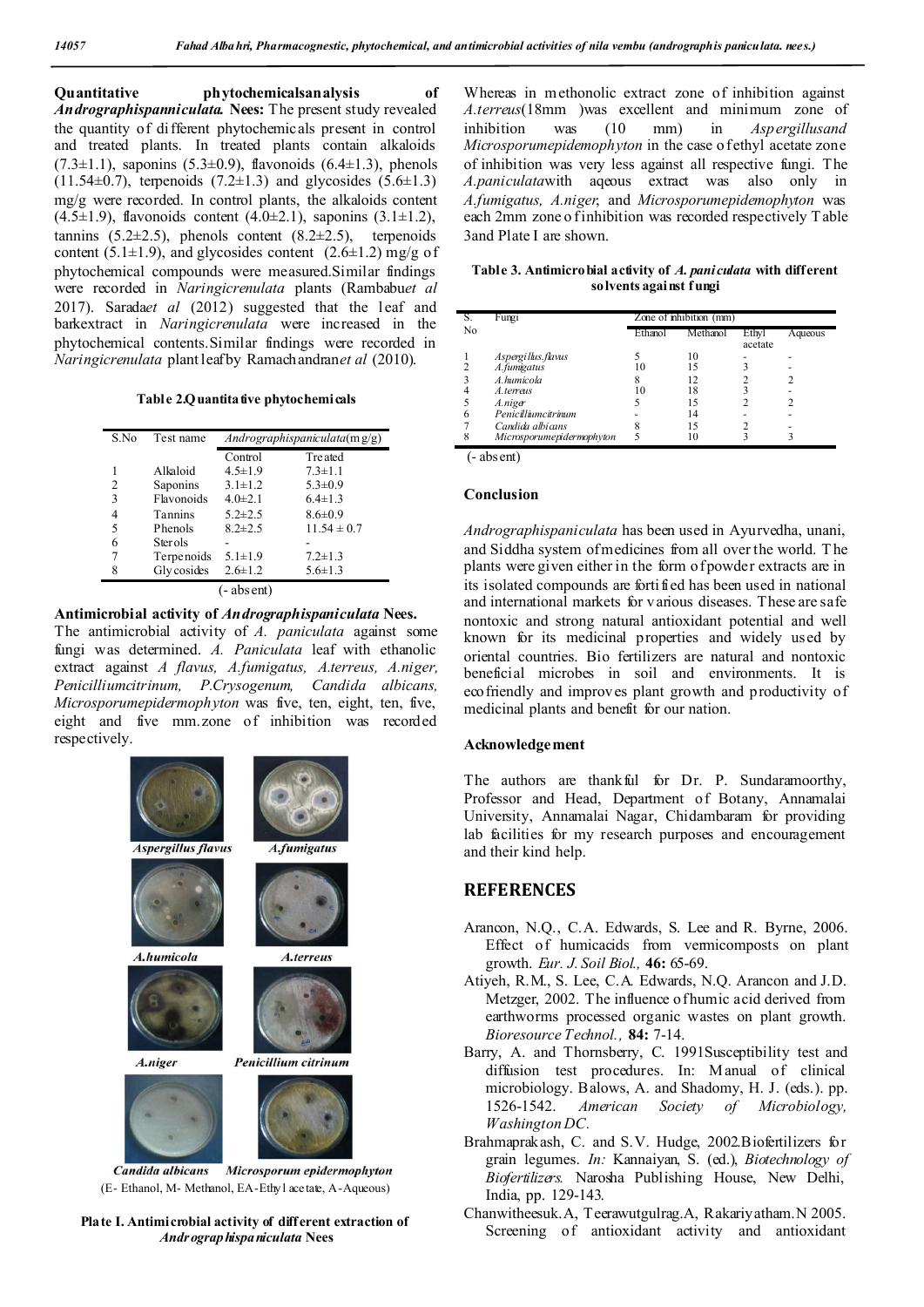**Quantitative phytochemicalsanalysis of**  *Andrographispanniculata.* **Nees:** The present study revealed the quantity of different phytochemicals present in control and treated plants. In treated plants contain alkaloids  $(7.3\pm1.1)$ , saponins  $(5.3\pm0.9)$ , flavonoids  $(6.4\pm1.3)$ , phenols  $(11.54\pm0.7)$ , terpenoids  $(7.2\pm1.3)$  and glycosides  $(5.6\pm1.3)$ mg/g were recorded. In control plants, the alkaloids content  $(4.5\pm1.9)$ , flavonoids content  $(4.0\pm2.1)$ , saponins  $(3.1\pm1.2)$ , tannins  $(5.2\pm 2.5)$ , phenols content  $(8.2\pm 2.5)$ , terpenoids content (5.1 $\pm$ 1.9), and glycosides content (2.6 $\pm$ 1.2) mg/g of phytochemical compounds were measured.Similar findings were recorded in *Naringicrenulata* plants (Rambabu*et al* 2017). Sarada*et al* (2012) suggested that the leaf and barkextract in *Naringicrenulata* were increased in the phytochemical contents.Similar findings were recorded in *Naringicrenulata* plant leaf by Ramachandran*et al* (2010).

Table 2.Q uantita tive phytochemicals

| S.No        | Test name      | Andrographispaniculata $(mg/g)$ |                 |  |  |  |  |
|-------------|----------------|---------------------------------|-----------------|--|--|--|--|
|             |                | Control                         | Treated         |  |  |  |  |
|             | Alkaloid       | $4.5 \pm 1.9$                   | $7.3 \pm 1.1$   |  |  |  |  |
| 2           | Saponins       | $3.1 \pm 1.2$                   | $5.3 \pm 0.9$   |  |  |  |  |
| 3           | Flavonoids     | $4.0 \pm 2.1$                   | $6.4 \pm 1.3$   |  |  |  |  |
| 4           | Tannins        | $5.2 \pm 2.5$                   | $8.6 \pm 0.9$   |  |  |  |  |
| 5           | Phenols        | $8.2 \pm 2.5$                   | $11.54 \pm 0.7$ |  |  |  |  |
| 6           | <b>Sterols</b> |                                 |                 |  |  |  |  |
|             | Terpenoids     | $5.1 \pm 1.9$                   | $7.2 \pm 1.3$   |  |  |  |  |
| 8           | Gly cosides    | $2.6 \pm 1.2$                   | $5.6 \pm 1.3$   |  |  |  |  |
| (- abs ent) |                |                                 |                 |  |  |  |  |

**Antimicrobial activity of** *Andrographispaniculata* **Nees.**

The antimicrobial activity of *A. paniculata* against some fungi was determined. *A. Paniculata* leaf with ethanolic extract against *A flavus, A.fumigatus, A.terreus, A.niger, Penicilliumcitrinum, P.Crysogenum, Candida albicans, Microsporumepidermophyton* was five, ten, eight, ten, five, eight and five mm.zone of inhibition was recorded respectively.



**Plate I. Antimicrobial activity of different extraction of**  *Andrographispaniculata* **Nees**

Whereas in methonolic extract zone of inhibition against *A.terreus*(18mm )was excellent and minimum zone of inhibition was (10 mm) in *Aspergillusand Microsporumepidemophyton* in the case of ethyl acetate zone of inhibition was very less against all respective fungi. The *A.paniculata*with aqeous extract was also only in *A.fumigatus, A.niger*, and *Microsporumepidemophyton* was each 2mm zone o f inhibition was recorded respectively Table 3and Plate I are shown.

**Table 3. Antimicrobial activity of** *A. paniculata* **with different solvents against f ungi**

| S. | Fungi                     | Zone of inhibition (mm) |          |                  |         |
|----|---------------------------|-------------------------|----------|------------------|---------|
| No |                           | Ethanol                 | Methanol | Ethyl<br>acetate | Aqueous |
|    | Aspergillus.flaws         |                         | 10       |                  |         |
|    | A.fumigatus               |                         | 15       |                  |         |
|    | A.humicola                |                         | 12       |                  |         |
|    | A.terreus                 | 10                      | 18       |                  |         |
|    | A.niger                   |                         | 15       |                  |         |
|    | Penicilliumcitrinum       |                         | 14       |                  |         |
|    | Candida albicans          |                         | 15       |                  |         |
|    | Microsporumepidermophyton |                         |          |                  |         |

(- absent)

#### **Conclusion**

*Andrographispaniculata* has been used in Ayurvedha, unani, and Siddha system of medicines from all over the world. T he plants were given either in the form of powder extracts are in its isolated compounds are fortified has been used in national and international markets for various diseases. These are safe nontoxic and strong natural antioxidant potential and well known for its medicinal properties and widely used by oriental countries. Bio fertilizers are natural and nontoxic beneficial microbes in soil and environments. It is ecofriendly and improves plant growth and productivity of medicinal plants and benefit for our nation.

### **Acknowledgement**

The authors are thankful for Dr. P. Sundaramoorthy, Professor and Head, Department of Botany, Annamalai University, Annamalai Nagar, Chidambaram for providing lab facilities for my research purposes and encouragement and their kind help.

## **REFERENCES**

- Arancon, N.Q., C.A. Edwards, S. Lee and R. Byrne, 2006. Effect of humicacids from vermicomposts on plant growth. *Eur. J. Soil Biol.,* **46:** 65-69.
- Atiyeh, R.M., S. Lee, C.A. Edwards, N.Q. Arancon and J.D. Metzger, 2002. The influence of humic acid derived from earthworms processed organic wastes on plant growth. *Bioresource Technol.,* **84:** 7-14.
- Barry, A. and Thornsberry, C. 1991Susceptibility test and diffusion test procedures. In: Manual of clinical microbiology. Balows, A. and Shadomy, H. J. (eds.). pp. 1526-1542. *American Society of Microbiology, Washington DC.*
- Brahmaprakash, C. and S.V. Hudge, 2002.Biofertilizers for grain legumes. *In:* Kannaiyan, S. (ed.), *Biotechnology of Biofertilizers.* Narosha Publishing House, New Delhi, India, pp. 129-143.
- Chanwitheesuk.A, Teerawutgulrag.A, Rakariyatham.N 2005. Screening of antioxidant activity and antioxidant